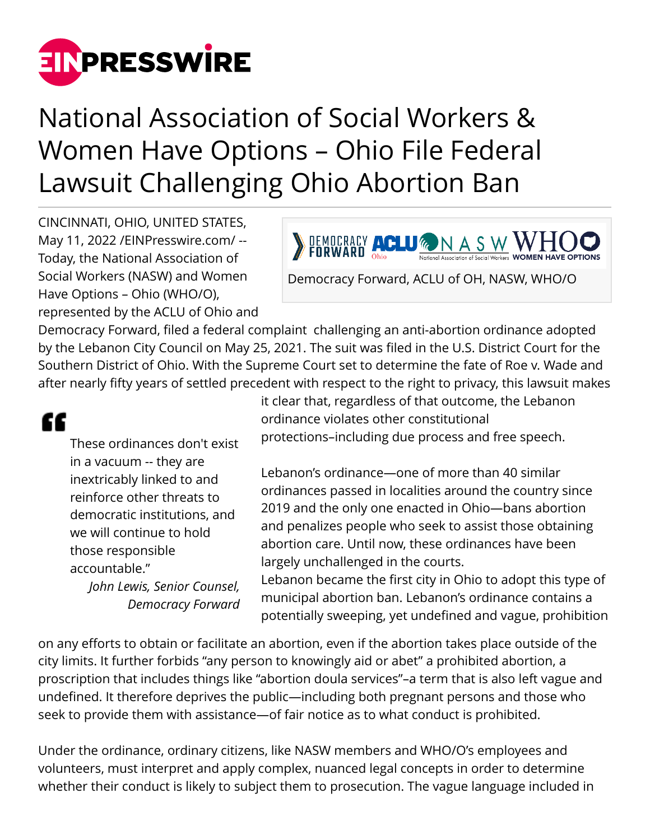

## National Association of Social Workers & Women Have Options – Ohio File Federal Lawsuit Challenging Ohio Abortion Ban

CINCINNATI, OHIO, UNITED STATES, May 11, 2022 [/EINPresswire.com](http://www.einpresswire.com)/ -- Today, the National Association of Social Workers (NASW) and Women Have Options – Ohio (WHO/O), represented by the ACLU of Ohio and

**DEMOCRACY ACLU & NASW WHOOD** 

Democracy Forward, ACLU of OH, NASW, WHO/O

Democracy Forward, filed a federal complaint challenging an anti-abortion ordinance adopted by the Lebanon City Council on May 25, 2021. The suit was filed in the U.S. District Court for the Southern District of Ohio. With the Supreme Court set to determine the fate of Roe v. Wade and after nearly fifty years of settled precedent with respect to the right to privacy, this lawsuit makes

## ££

These ordinances don't exist in a vacuum -- they are inextricably linked to and reinforce other threats to democratic institutions, and we will continue to hold those responsible accountable." *John Lewis, Senior Counsel,*

*Democracy Forward*

it clear that, regardless of that outcome, the Lebanon ordinance violates other constitutional protections–including due process and free speech.

Lebanon's ordinance—one of more than 40 similar ordinances passed in localities around the country since 2019 and the only one enacted in Ohio—bans abortion and penalizes people who seek to assist those obtaining abortion care. Until now, these ordinances have been largely unchallenged in the courts.

Lebanon became the first city in Ohio to adopt this type of municipal abortion ban. Lebanon's ordinance contains a potentially sweeping, yet undefined and vague, prohibition

on any efforts to obtain or facilitate an abortion, even if the abortion takes place outside of the city limits. It further forbids "any person to knowingly aid or abet" a prohibited abortion, a proscription that includes things like "abortion doula services"–a term that is also left vague and undefined. It therefore deprives the public—including both pregnant persons and those who seek to provide them with assistance—of fair notice as to what conduct is prohibited.

Under the ordinance, ordinary citizens, like NASW members and WHO/O's employees and volunteers, must interpret and apply complex, nuanced legal concepts in order to determine whether their conduct is likely to subject them to prosecution. The vague language included in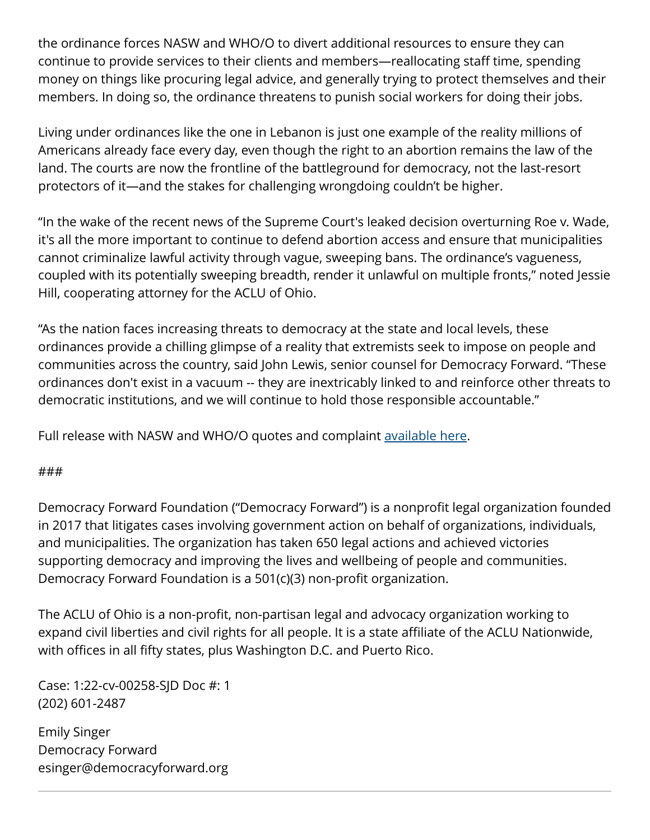the ordinance forces NASW and WHO/O to divert additional resources to ensure they can continue to provide services to their clients and members—reallocating staff time, spending money on things like procuring legal advice, and generally trying to protect themselves and their members. In doing so, the ordinance threatens to punish social workers for doing their jobs.

Living under ordinances like the one in Lebanon is just one example of the reality millions of Americans already face every day, even though the right to an abortion remains the law of the land. The courts are now the frontline of the battleground for democracy, not the last-resort protectors of it—and the stakes for challenging wrongdoing couldn't be higher.

"In the wake of the recent news of the Supreme Court's leaked decision overturning Roe v. Wade, it's all the more important to continue to defend abortion access and ensure that municipalities cannot criminalize lawful activity through vague, sweeping bans. The ordinance's vagueness, coupled with its potentially sweeping breadth, render it unlawful on multiple fronts," noted Jessie Hill, cooperating attorney for the ACLU of Ohio.

"As the nation faces increasing threats to democracy at the state and local levels, these ordinances provide a chilling glimpse of a reality that extremists seek to impose on people and communities across the country, said John Lewis, senior counsel for Democracy Forward. "These ordinances don't exist in a vacuum -- they are inextricably linked to and reinforce other threats to democratic institutions, and we will continue to hold those responsible accountable."

Full release with NASW and WHO/O quotes and complaint [available here](https://democracyforward.org/press/oh-complaint/).

## ###

Democracy Forward Foundation ("Democracy Forward") is a nonprofit legal organization founded in 2017 that litigates cases involving government action on behalf of organizations, individuals, and municipalities. The organization has taken 650 legal actions and achieved victories supporting democracy and improving the lives and wellbeing of people and communities. Democracy Forward Foundation is a 501(c)(3) non-profit organization.

The ACLU of Ohio is a non-profit, non-partisan legal and advocacy organization working to expand civil liberties and civil rights for all people. It is a state affiliate of the ACLU Nationwide, with offices in all fifty states, plus Washington D.C. and Puerto Rico.

Case: 1:22-cv-00258-SJD Doc #: 1 (202) 601-2487

Emily Singer Democracy Forward esinger@democracyforward.org